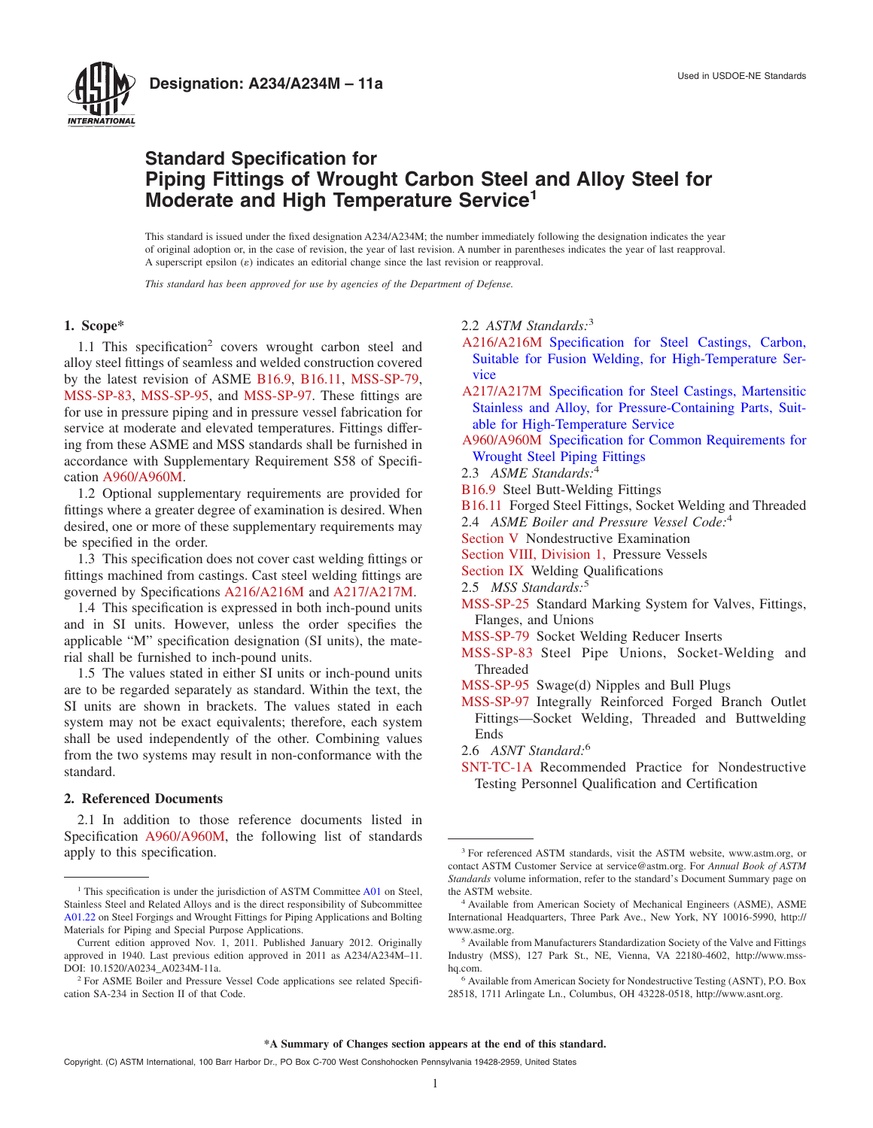

# **Standard Specification for Piping Fittings of Wrought Carbon Steel and Alloy Steel for Moderate and High Temperature Service<sup>1</sup>**

This standard is issued under the fixed designation A234/A234M; the number immediately following the designation indicates the year of original adoption or, in the case of revision, the year of last revision. A number in parentheses indicates the year of last reapproval. A superscript epsilon  $(\varepsilon)$  indicates an editorial change since the last revision or reapproval.

*This standard has been approved for use by agencies of the Department of Defense.*

# **1. Scope\***

1.1 This specification<sup>2</sup> covers wrought carbon steel and alloy steel fittings of seamless and welded construction covered by the latest revision of ASME [B16.9,](#page-4-0) [B16.11,](#page-4-1) [MSS-SP-79,](#page-4-2) [MSS-SP-83,](#page-4-2) [MSS-SP-95,](#page-4-3) and [MSS-SP-97.](#page-4-3) These fittings are for use in pressure piping and in pressure vessel fabrication for service at moderate and elevated temperatures. Fittings differing from these ASME and MSS standards shall be furnished in accordance with Supplementary Requirement S58 of Specification [A960/A960M.](#page-0-0)

1.2 Optional supplementary requirements are provided for fittings where a greater degree of examination is desired. When desired, one or more of these supplementary requirements may be specified in the order.

1.3 This specification does not cover cast welding fittings or fittings machined from castings. Cast steel welding fittings are governed by Specifications [A216/A216M](#page-0-1) and [A217/A217M.](#page-0-2)

1.4 This specification is expressed in both inch-pound units and in SI units. However, unless the order specifies the applicable "M" specification designation (SI units), the material shall be furnished to inch-pound units.

1.5 The values stated in either SI units or inch-pound units are to be regarded separately as standard. Within the text, the SI units are shown in brackets. The values stated in each system may not be exact equivalents; therefore, each system shall be used independently of the other. Combining values from the two systems may result in non-conformance with the standard.

# **2. Referenced Documents**

2.1 In addition to those reference documents listed in Specification [A960/A960M,](#page-1-0) the following list of standards apply to this specification.

#### <span id="page-0-16"></span><span id="page-0-1"></span>2.2 *ASTM Standards:*<sup>3</sup>

- <span id="page-0-5"></span>[A216/A216M](#page-0-3) [Specification for Steel Castings, Carbon,](http://dx.doi.org/10.1520/A0216_A0216M) [Suitable for Fusion Welding, for High-Temperature Ser](http://dx.doi.org/10.1520/A0216_A0216M)[vice](http://dx.doi.org/10.1520/A0216_A0216M)
- <span id="page-0-6"></span><span id="page-0-2"></span>[A217/A217M](#page-0-3) [Specification for Steel Castings, Martensitic](http://dx.doi.org/10.1520/A0217_A0217M) [Stainless and Alloy, for Pressure-Containing Parts, Suit](http://dx.doi.org/10.1520/A0217_A0217M)[able for High-Temperature Service](http://dx.doi.org/10.1520/A0217_A0217M)
- <span id="page-0-13"></span><span id="page-0-4"></span>[A960/A960M](#page-0-4) [Specification for Common Requirements for](http://dx.doi.org/10.1520/A0960_A0960M) [Wrought Steel Piping Fittings](http://dx.doi.org/10.1520/A0960_A0960M)
- <span id="page-0-9"></span>2.3 *ASME Standards:*<sup>4</sup>
- <span id="page-0-10"></span>[B16.9](#page-0-5) Steel Butt-Welding Fittings
- [B16.11](#page-0-5) Forged Steel Fittings, Socket Welding and Threaded
- <span id="page-0-7"></span>2.4 *ASME Boiler and Pressure Vessel Code:*<sup>4</sup>
- [Section V](#page-2-0) Nondestructive Examination
- [Section VIII, Division 1,](#page-2-1) Pressure Vessels
- <span id="page-0-3"></span>[Section IX](#page-2-2) Welding Qualifications
- <span id="page-0-14"></span>2.5 *MSS Standards:*<sup>5</sup>
- [MSS-SP-25](#page-5-0) Standard Marking System for Valves, Fittings, Flanges, and Unions
- <span id="page-0-12"></span><span id="page-0-11"></span>[MSS-SP-79](#page-0-5) Socket Welding Reducer Inserts
- [MSS-SP-83](#page-0-6) Steel Pipe Unions, Socket-Welding and Threaded
- <span id="page-0-17"></span><span id="page-0-15"></span>[MSS-SP-95](#page-0-6) Swage(d) Nipples and Bull Plugs
- [MSS-SP-97](#page-0-6) Integrally Reinforced Forged Branch Outlet Fittings—Socket Welding, Threaded and Buttwelding Ends
- <span id="page-0-8"></span>2.6 *ASNT Standard:*<sup>6</sup>
- <span id="page-0-0"></span>[SNT-TC-1A](#page-3-0) Recommended Practice for Nondestructive Testing Personnel Qualification and Certification

 $1$ . This specification is under the jurisdiction of ASTM Committee [A01](http://www.astm.org/COMMIT/COMMITTEE/A01.htm) on Steel. Stainless Steel and Related Alloys and is the direct responsibility of Subcommittee [A01.22](http://www.astm.org/COMMIT/SUBCOMMIT/A0122.htm) on Steel Forgings and Wrought Fittings for Piping Applications and Bolting Materials for Piping and Special Purpose Applications.

Current edition approved Nov. 1, 2011. Published January 2012. Originally approved in 1940. Last previous edition approved in 2011 as A234/A234M–11. DOI: 10.1520/A0234\_A0234M-11a.

<sup>2</sup> For ASME Boiler and Pressure Vessel Code applications see related Specification SA-234 in Section II of that Code.

<sup>3</sup> For referenced ASTM standards, visit the ASTM website, www.astm.org, or contact ASTM Customer Service at service@astm.org. For *Annual Book of ASTM Standards* volume information, refer to the standard's Document Summary page on the ASTM website.

<sup>4</sup> Available from American Society of Mechanical Engineers (ASME), ASME International Headquarters, Three Park Ave., New York, NY 10016-5990, http:// www.asme.org.

<sup>5</sup> Available from Manufacturers Standardization Society of the Valve and Fittings Industry (MSS), 127 Park St., NE, Vienna, VA 22180-4602, http://www.msshq.com.

<sup>6</sup> Available from American Society for Nondestructive Testing (ASNT), P.O. Box 28518, 1711 Arlingate Ln., Columbus, OH 43228-0518, http://www.asnt.org.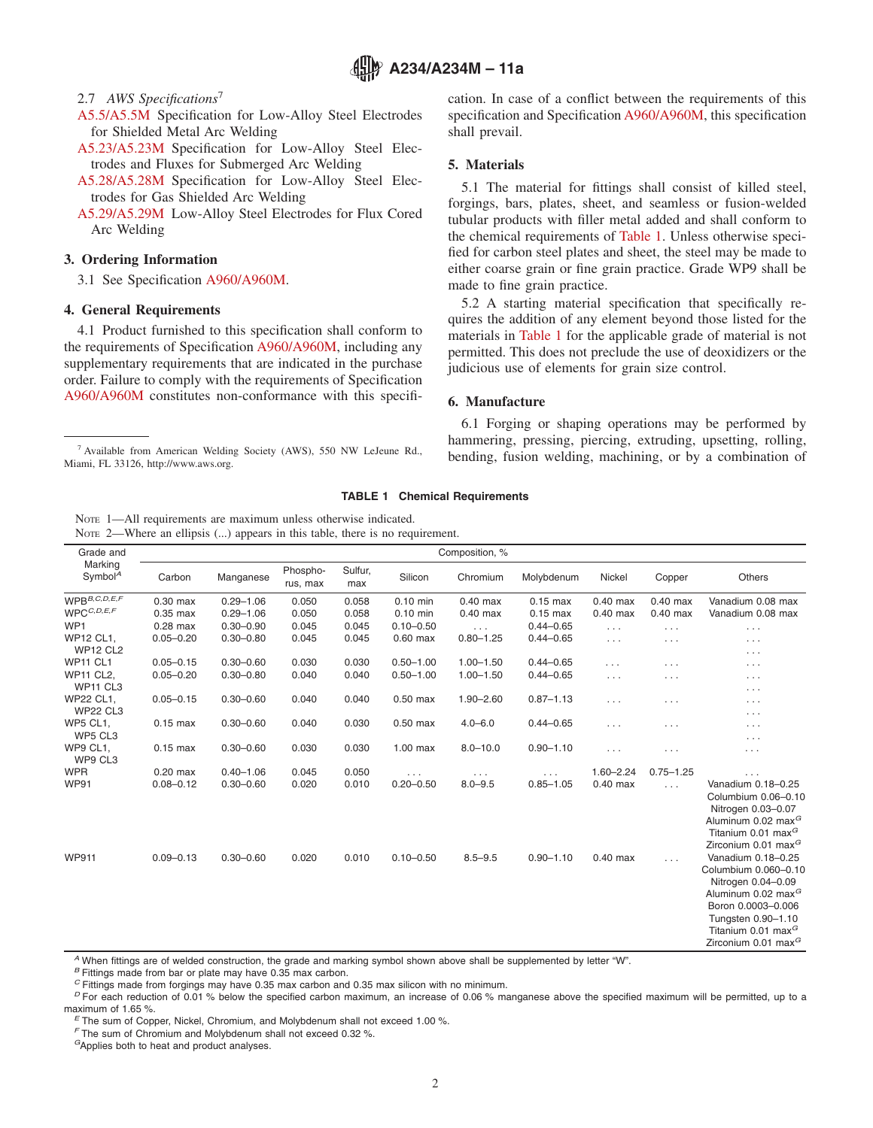**A234/A234M – 11a**

### 2.7 *AWS Specifications*<sup>7</sup>

- [A5.5/A5.5M](#page-3-1) Specification for Low-Alloy Steel Electrodes for Shielded Metal Arc Welding
- [A5.23/A5.23M](#page-3-1) Specification for Low-Alloy Steel Electrodes and Fluxes for Submerged Arc Welding
- [A5.28/A5.28M](#page-3-2) Specification for Low-Alloy Steel Electrodes for Gas Shielded Arc Welding
- [A5.29/A5.29M](#page-3-2) Low-Alloy Steel Electrodes for Flux Cored Arc Welding

#### **3. Ordering Information**

3.1 See Specification [A960/A960M.](#page-1-1)

# **4. General Requirements**

4.1 Product furnished to this specification shall conform to the requirements of Specification [A960/A960M,](#page-1-2) including any supplementary requirements that are indicated in the purchase order. Failure to comply with the requirements of Specification [A960/A960M](#page-1-3) constitutes non-conformance with this specifi<span id="page-1-5"></span><span id="page-1-3"></span>cation. In case of a conflict between the requirements of this specification and Specification [A960/A960M,](#page-2-3) this specification shall prevail.

#### <span id="page-1-10"></span><span id="page-1-7"></span><span id="page-1-6"></span>**5. Materials**

<span id="page-1-8"></span>5.1 The material for fittings shall consist of killed steel, forgings, bars, plates, sheet, and seamless or fusion-welded tubular products with filler metal added and shall conform to the chemical requirements of [Table 1.](#page-1-4) Unless otherwise specified for carbon steel plates and sheet, the steel may be made to either coarse grain or fine grain practice. Grade WP9 shall be made to fine grain practice.

<span id="page-1-1"></span><span id="page-1-0"></span>5.2 A starting material specification that specifically requires the addition of any element beyond those listed for the materials in [Table 1](#page-1-4) for the applicable grade of material is not permitted. This does not preclude the use of deoxidizers or the judicious use of elements for grain size control.

#### <span id="page-1-9"></span><span id="page-1-4"></span><span id="page-1-2"></span>**6. Manufacture**

6.1 Forging or shaping operations may be performed by hammering, pressing, piercing, extruding, upsetting, rolling, <sup>7</sup> Available from American Welding Society (AWS), 550 NW LeJeune Rd.,<br>bending, fusion welding, machining, or by a combination of

#### **TABLE 1 Chemical Requirements**

NOTE 2—Where an ellipsis (...) appears in this table, there is no requirement.

| Grade and                                            | Composition, % |               |                      |                |               |                      |               |               |                      |                                                                                                                                                                                                     |
|------------------------------------------------------|----------------|---------------|----------------------|----------------|---------------|----------------------|---------------|---------------|----------------------|-----------------------------------------------------------------------------------------------------------------------------------------------------------------------------------------------------|
| Marking<br>Symbol <sup>A</sup>                       | Carbon         | Manganese     | Phospho-<br>rus, max | Sulfur,<br>max | Silicon       | Chromium             | Molybdenum    | Nickel        | Copper               | Others                                                                                                                                                                                              |
| $WPB^{B,C,D,E,F}$                                    | $0.30$ max     | $0.29 - 1.06$ | 0.050                | 0.058          | $0.10$ min    | $0.40$ max           | $0.15$ max    | $0.40$ max    | $0.40$ max           | Vanadium 0.08 max                                                                                                                                                                                   |
| $\mathsf{WPC}^{C,D,E,F}$                             | $0.35$ max     | $0.29 - 1.06$ | 0.050                | 0.058          | $0.10$ min    | $0.40$ max           | $0.15$ max    | $0.40$ max    | $0.40$ max           | Vanadium 0.08 max                                                                                                                                                                                   |
| WP1                                                  | $0.28$ max     | $0.30 - 0.90$ | 0.045                | 0.045          | $0.10 - 0.50$ | $\sim 10$            | $0.44 - 0.65$ | $\ldots$      | $\sim$ $\sim$ $\sim$ | $\sim$ $\sim$ $\sim$                                                                                                                                                                                |
| <b>WP12 CL1.</b><br><b>WP12 CL2</b>                  | $0.05 - 0.20$  | $0.30 - 0.80$ | 0.045                | 0.045          | $0.60$ max    | $0.80 - 1.25$        | $0.44 - 0.65$ | $\ldots$      | $\cdots$             | $\cdots$<br>$\cdots$                                                                                                                                                                                |
| <b>WP11 CL1</b>                                      | $0.05 - 0.15$  | $0.30 - 0.60$ | 0.030                | 0.030          | $0.50 - 1.00$ | $1.00 - 1.50$        | $0.44 - 0.65$ | $\cdots$      | $\cdots$             | $\cdots$                                                                                                                                                                                            |
| <b>WP11 CL2.</b><br>WP <sub>11</sub> CL <sub>3</sub> | $0.05 - 0.20$  | $0.30 - 0.80$ | 0.040                | 0.040          | $0.50 - 1.00$ | $1.00 - 1.50$        | $0.44 - 0.65$ | $\sim$        | $\cdots$             | $\cdots$<br>$\cdots$                                                                                                                                                                                |
| WP22 CL1,<br><b>WP22 CL3</b>                         | $0.05 - 0.15$  | $0.30 - 0.60$ | 0.040                | 0.040          | $0.50$ max    | $1.90 - 2.60$        | $0.87 - 1.13$ | $\ldots$      | $\cdots$             | $\cdots$<br>$\cdots$                                                                                                                                                                                |
| <b>WP5 CL1.</b><br>WP5 CL3                           | $0.15$ max     | $0.30 - 0.60$ | 0.040                | 0.030          | $0.50$ max    | $4.0 - 6.0$          | $0.44 - 0.65$ | $\cdots$      | $\cdots$             | $\cdots$<br>$\cdots$                                                                                                                                                                                |
| WP9 CL1.<br>WP9 CL3                                  | $0.15$ max     | $0.30 - 0.60$ | 0.030                | 0.030          | $1.00$ max    | $8.0 - 10.0$         | $0.90 - 1.10$ | $\ldots$      | $\cdots$             | $\cdots$                                                                                                                                                                                            |
| <b>WPR</b>                                           | $0.20$ max     | $0.40 - 1.06$ | 0.045                | 0.050          | $\ldots$      | $\sim$ $\sim$ $\sim$ | $\cdots$      | $1.60 - 2.24$ | $0.75 - 1.25$        | $\cdots$                                                                                                                                                                                            |
| <b>WP91</b>                                          | $0.08 - 0.12$  | $0.30 - 0.60$ | 0.020                | 0.010          | $0.20 - 0.50$ | $8.0 - 9.5$          | $0.85 - 1.05$ | $0.40$ max    | $\sim 100$           | Vanadium 0.18-0.25<br>Columbium 0.06-0.10<br>Nitrogen 0.03-0.07<br>Aluminum 0.02 max <sup>G</sup><br>Titanium 0.01 max <sup>G</sup><br>Zirconium 0.01 max <sup>G</sup>                              |
| <b>WP911</b>                                         | $0.09 - 0.13$  | $0.30 - 0.60$ | 0.020                | 0.010          | $0.10 - 0.50$ | $8.5 - 9.5$          | $0.90 - 1.10$ | $0.40$ max    | $\cdots$             | Vanadium 0.18-0.25<br>Columbium 0.060-0.10<br>Nitrogen 0.04-0.09<br>Aluminum 0.02 max <sup>G</sup><br>Boron 0.0003-0.006<br>Tungsten 0.90-1.10<br>Titanium 0.01 max $^G$<br>Zirconium 0.01 max $^G$ |

*<sup>A</sup>* When fittings are of welded construction, the grade and marking symbol shown above shall be supplemented by letter "W".

Miami, FL 33126, http://www.aws.org.

NOTE 1—All requirements are maximum unless otherwise indicated.

*<sup>B</sup>* Fittings made from bar or plate may have 0.35 max carbon.

<sup>&</sup>lt;sup>D</sup> For each reduction of 0.01 % below the specified carbon maximum, an increase of 0.06 % manganese above the specified maximum will be permitted, up to a maximum of 1.65 %.<br>*<sup>E</sup>* The sum of Copper, Nickel, Chromium, and Molybdenum shall not exceed 1.00 %.

*<sup>F</sup>* The sum of Chromium and Molybdenum shall not exceed 0.32 %.

*<sup>G</sup>*Applies both to heat and product analyses.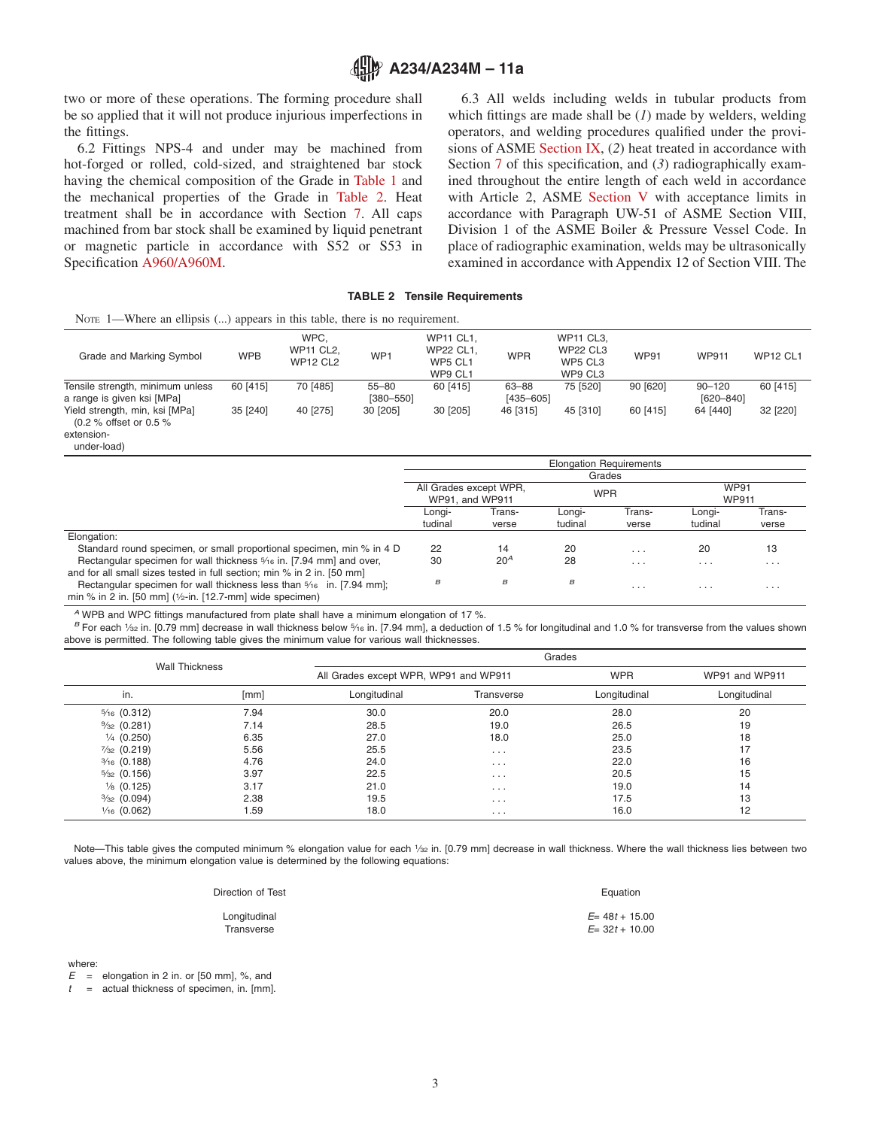

two or more of these operations. The forming procedure shall be so applied that it will not produce injurious imperfections in the fittings.

6.2 Fittings NPS-4 and under may be machined from hot-forged or rolled, cold-sized, and straightened bar stock having the chemical composition of the Grade in [Table 1](#page-1-4) and the mechanical properties of the Grade in [Table 2.](#page-2-4) Heat treatment shall be in accordance with Section [7.](#page-3-3) All caps machined from bar stock shall be examined by liquid penetrant or magnetic particle in accordance with S52 or S53 in Specification [A960/A960M.](#page-3-4)

<span id="page-2-6"></span><span id="page-2-5"></span><span id="page-2-4"></span><span id="page-2-3"></span><span id="page-2-2"></span><span id="page-2-0"></span>6.3 All welds including welds in tubular products from which fittings are made shall be (*1*) made by welders, welding operators, and welding procedures qualified under the provisions of ASME [Section IX,](#page-4-4) (*2*) heat treated in accordance with Section [7](#page-3-3) of this specification, and (3) radiographically examined throughout the entire length of each weld in accordance with Article 2, ASME [Section V](#page-0-7) with acceptance limits in accordance with Paragraph UW-51 of ASME Section VIII, Division 1 of the ASME Boiler & Pressure Vessel Code. In place of radiographic examination, welds may be ultrasonically examined in accordance with Appendix 12 of Section VIII. The

#### <span id="page-2-1"></span>**TABLE 2 Tensile Requirements**

| NOTE 1—Where an ellipsis $(\ldots)$ appears in this table, there is no requirement.   |            |                                             |                            |                                                            |                        |                                                           |             |                         |                 |
|---------------------------------------------------------------------------------------|------------|---------------------------------------------|----------------------------|------------------------------------------------------------|------------------------|-----------------------------------------------------------|-------------|-------------------------|-----------------|
| Grade and Marking Symbol                                                              | <b>WPB</b> | WPC.<br><b>WP11 CL2.</b><br><b>WP12 CL2</b> | WP <sub>1</sub>            | <b>WP11 CL1.</b><br><b>WP22 CL1.</b><br>WP5 CL1<br>WP9 CL1 | <b>WPR</b>             | <b>WP11 CL3.</b><br><b>WP22 CL3</b><br>WP5 CL3<br>WP9 CL3 | <b>WP91</b> | <b>WP911</b>            | <b>WP12 CL1</b> |
| Tensile strength, minimum unless<br>a range is given ksi [MPa]                        | 60 [415]   | 70 [485]                                    | $55 - 80$<br>$[380 - 550]$ | 60 [415]                                                   | 63-88<br>$[435 - 605]$ | 75 [520]                                                  | 90 [620]    | $90 - 120$<br>[620-840] | 60 [415]        |
| Yield strength, min, ksi [MPa]<br>(0.2 % offset or 0.5 %<br>extension-<br>under-load) | 35 [240]   | 40 [275]                                    | 30 [205]                   | 30 [205]                                                   | 46 [315]               | 45 [310]                                                  | 60 [415]    | 64 [440]                | 32 [220]        |

|                                                                                 | <b>Elongation Requirements</b>            |        |            |          |                             |          |  |
|---------------------------------------------------------------------------------|-------------------------------------------|--------|------------|----------|-----------------------------|----------|--|
|                                                                                 | Grades                                    |        |            |          |                             |          |  |
|                                                                                 | All Grades except WPR,<br>WP91, and WP911 |        | <b>WPR</b> |          | <b>WP91</b><br><b>WP911</b> |          |  |
|                                                                                 | Longi-                                    | Trans- | Longi-     | Trans-   | Longi-                      | Trans-   |  |
|                                                                                 | tudinal                                   | verse  | tudinal    | verse    | tudinal                     | verse    |  |
| Elongation:                                                                     |                                           |        |            |          |                             |          |  |
| Standard round specimen, or small proportional specimen, min % in 4 D           | 22                                        | 14     | 20         | $\cdots$ | 20                          | 13       |  |
| Rectangular specimen for wall thickness 5/16 in. [7.94 mm] and over,            | 30                                        | $20^A$ | 28         | $\cdots$ | $\cdots$                    | $\cdots$ |  |
| and for all small sizes tested in full section; min % in 2 in. [50 mm]          |                                           |        |            |          |                             |          |  |
| Rectangular specimen for wall thickness less than $\frac{5}{16}$ in. [7.94 mm]; | $\boldsymbol{\mathsf{B}}$                 | B      | B          | $\cdots$ | $\cdots$                    | $\cdots$ |  |
| min % in 2 in. [50 mm] $(\frac{1}{2}$ -in. [12.7-mm] wide specimen)             |                                           |        |            |          |                             |          |  |

*<sup>A</sup>* WPB and WPC fittings manufactured from plate shall have a minimum elongation of 17 %.

*B* For each 1/<sub>32</sub> in. [0.79 mm] decrease in wall thickness below 5/16 in. [7.94 mm], a deduction of 1.5 % for longitudinal and 1.0 % for transverse from the values shown above is permitted. The following table gives the minimum value for various wall thicknesses.

| <b>Wall Thickness</b>  |      |                                       | Grades     |              |                |  |  |  |  |
|------------------------|------|---------------------------------------|------------|--------------|----------------|--|--|--|--|
|                        |      | All Grades except WPR, WP91 and WP911 |            | <b>WPR</b>   | WP91 and WP911 |  |  |  |  |
| in.                    | [mm] | Longitudinal                          | Transverse | Longitudinal | Longitudinal   |  |  |  |  |
| $\frac{5}{16}$ (0.312) | 7.94 | 30.0                                  | 20.0       | 28.0         | 20             |  |  |  |  |
| $\frac{9}{32}$ (0.281) | 7.14 | 28.5                                  | 19.0       | 26.5         | 19             |  |  |  |  |
| $\frac{1}{4}$ (0.250)  | 6.35 | 27.0                                  | 18.0       | 25.0         | 18             |  |  |  |  |
| $\frac{7}{32}$ (0.219) | 5.56 | 25.5                                  | $\cdots$   | 23.5         | 17             |  |  |  |  |
| $\frac{3}{16}$ (0.188) | 4.76 | 24.0                                  | $\cdots$   | 22.0         | 16             |  |  |  |  |
| $\frac{5}{32}$ (0.156) | 3.97 | 22.5                                  | $\cdots$   | 20.5         | 15             |  |  |  |  |
| $\frac{1}{8}$ (0.125)  | 3.17 | 21.0                                  | $\cdots$   | 19.0         | 14             |  |  |  |  |
| $\frac{3}{32}$ (0.094) | 2.38 | 19.5                                  | $\cdots$   | 17.5         | 13             |  |  |  |  |
| $\frac{1}{16}$ (0.062) | 1.59 | 18.0                                  | $\cdots$   | 16.0         | 12             |  |  |  |  |

Note—This table gives the computed minimum % elongation value for each 1/32 in. [0.79 mm] decrease in wall thickness. Where the wall thickness lies between two values above, the minimum elongation value is determined by the following equations:

| Direction of Test | Equation         |
|-------------------|------------------|
| Longitudinal      | $E= 48t + 15.00$ |
| Transverse        | $E= 32t + 10.00$ |

where

 $E =$  elongation in 2 in. or [50 mm], %, and

*t* = actual thickness of specimen, in. [mm].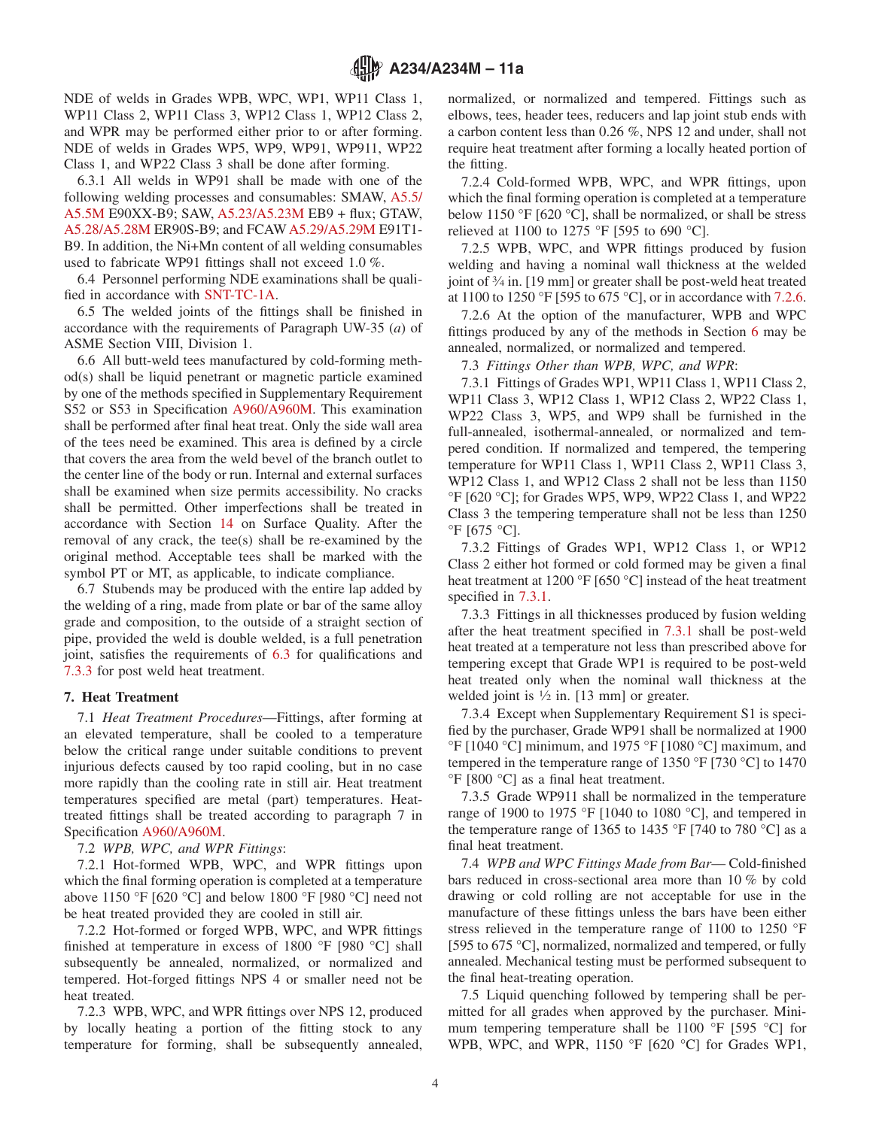NDE of welds in Grades WPB, WPC, WP1, WP11 Class 1, WP11 Class 2, WP11 Class 3, WP12 Class 1, WP12 Class 2, and WPR may be performed either prior to or after forming. NDE of welds in Grades WP5, WP9, WP91, WP911, WP22 Class 1, and WP22 Class 3 shall be done after forming.

6.3.1 All welds in WP91 shall be made with one of the following welding processes and consumables: SMAW, [A5.5/](#page-1-5) [A5.5M](#page-1-5) E90XX-B9; SAW, [A5.23/A5.23M](#page-1-6) EB9 + flux; GTAW, [A5.28/A5.28M](#page-1-7) ER90S-B9; and FCAW[A5.29/A5.29M](#page-1-8) E91T1- B9. In addition, the Ni+Mn content of all welding consumables used to fabricate WP91 fittings shall not exceed 1.0 %.

6.4 Personnel performing NDE examinations shall be qualified in accordance with [SNT-TC-1A.](#page-0-8)

6.5 The welded joints of the fittings shall be finished in accordance with the requirements of Paragraph UW-35 (*a*) of ASME Section VIII, Division 1.

6.6 All butt-weld tees manufactured by cold-forming method(s) shall be liquid penetrant or magnetic particle examined by one of the methods specified in Supplementary Requirement S52 or S53 in Specification [A960/A960M.](#page-3-5) This examination shall be performed after final heat treat. Only the side wall area of the tees need be examined. This area is defined by a circle that covers the area from the weld bevel of the branch outlet to the center line of the body or run. Internal and external surfaces shall be examined when size permits accessibility. No cracks shall be permitted. Other imperfections shall be treated in accordance with Section [14](#page-4-5) on Surface Quality. After the removal of any crack, the tee(s) shall be re-examined by the original method. Acceptable tees shall be marked with the symbol PT or MT, as applicable, to indicate compliance.

6.7 Stubends may be produced with the entire lap added by the welding of a ring, made from plate or bar of the same alloy grade and composition, to the outside of a straight section of pipe, provided the weld is double welded, is a full penetration joint, satisfies the requirements of [6.3](#page-2-5) for qualifications and [7.3.3](#page-3-6) for post weld heat treatment.

#### **7. Heat Treatment**

7.1 *Heat Treatment Procedures*—Fittings, after forming at an elevated temperature, shall be cooled to a temperature below the critical range under suitable conditions to prevent injurious defects caused by too rapid cooling, but in no case more rapidly than the cooling rate in still air. Heat treatment temperatures specified are metal (part) temperatures. Heattreated fittings shall be treated according to paragraph 7 in Specification [A960/A960M.](#page-4-6)

7.2 *WPB, WPC, and WPR Fittings*:

7.2.1 Hot-formed WPB, WPC, and WPR fittings upon which the final forming operation is completed at a temperature above 1150 °F [620 °C] and below 1800 °F [980 °C] need not be heat treated provided they are cooled in still air.

7.2.2 Hot-formed or forged WPB, WPC, and WPR fittings finished at temperature in excess of 1800 °F [980 °C] shall subsequently be annealed, normalized, or normalized and tempered. Hot-forged fittings NPS 4 or smaller need not be heat treated.

7.2.3 WPB, WPC, and WPR fittings over NPS 12, produced by locally heating a portion of the fitting stock to any temperature for forming, shall be subsequently annealed, normalized, or normalized and tempered. Fittings such as elbows, tees, header tees, reducers and lap joint stub ends with a carbon content less than 0.26 %, NPS 12 and under, shall not require heat treatment after forming a locally heated portion of the fitting.

<span id="page-3-10"></span><span id="page-3-9"></span><span id="page-3-1"></span>7.2.4 Cold-formed WPB, WPC, and WPR fittings, upon which the final forming operation is completed at a temperature below 1150 °F [620 °C], shall be normalized, or shall be stress relieved at 1100 to 1275 °F [595 to 690 °C].

<span id="page-3-2"></span>7.2.5 WPB, WPC, and WPR fittings produced by fusion welding and having a nominal wall thickness at the welded joint of 3⁄4 in. [19 mm] or greater shall be post-weld heat treated at 1100 to 1250 °F [595 to 675 °C], or in accordance with [7.2.6.](#page-3-7)

<span id="page-3-7"></span>7.2.6 At the option of the manufacturer, WPB and WPC fittings produced by any of the methods in Section 6 may be annealed, normalized, or normalized and tempered.

<span id="page-3-4"></span><span id="page-3-0"></span>7.3 *Fittings Other than WPB, WPC, and WPR*:

<span id="page-3-8"></span>7.3.1 Fittings of Grades WP1, WP11 Class 1, WP11 Class 2, WP11 Class 3, WP12 Class 1, WP12 Class 2, WP22 Class 1, WP22 Class 3, WP5, and WP9 shall be furnished in the full-annealed, isothermal-annealed, or normalized and tempered condition. If normalized and tempered, the tempering temperature for WP11 Class 1, WP11 Class 2, WP11 Class 3, WP12 Class 1, and WP12 Class 2 shall not be less than 1150 °F [620 °C]; for Grades WP5, WP9, WP22 Class 1, and WP22 Class 3 the tempering temperature shall not be less than 1250  $\mathrm{^{\circ}F}$  [675  $\mathrm{^{\circ}C}$ ].

7.3.2 Fittings of Grades WP1, WP12 Class 1, or WP12 Class 2 either hot formed or cold formed may be given a final heat treatment at 1200 °F [650 °C] instead of the heat treatment specified in [7.3.1.](#page-3-8)

<span id="page-3-6"></span>7.3.3 Fittings in all thicknesses produced by fusion welding after the heat treatment specified in [7.3.1](#page-3-8) shall be post-weld heat treated at a temperature not less than prescribed above for tempering except that Grade WP1 is required to be post-weld heat treated only when the nominal wall thickness at the welded joint is  $\frac{1}{2}$  in. [13 mm] or greater.

<span id="page-3-11"></span><span id="page-3-3"></span>7.3.4 Except when Supplementary Requirement S1 is specified by the purchaser, Grade WP91 shall be normalized at 1900 °F [1040 °C] minimum, and 1975 °F [1080 °C] maximum, and tempered in the temperature range of 1350 °F [730 °C] to 1470 °F [800 °C] as a final heat treatment.

<span id="page-3-5"></span>7.3.5 Grade WP911 shall be normalized in the temperature range of 1900 to 1975 °F [1040 to 1080 °C], and tempered in the temperature range of 1365 to 1435 °F [740 to 780 °C] as a final heat treatment.

7.4 *WPB and WPC Fittings Made from Bar*— Cold-finished bars reduced in cross-sectional area more than 10 % by cold drawing or cold rolling are not acceptable for use in the manufacture of these fittings unless the bars have been either stress relieved in the temperature range of 1100 to 1250 °F [595 to 675 °C], normalized, normalized and tempered, or fully annealed. Mechanical testing must be performed subsequent to the final heat-treating operation.

7.5 Liquid quenching followed by tempering shall be permitted for all grades when approved by the purchaser. Minimum tempering temperature shall be 1100 °F [595 °C] for WPB, WPC, and WPR, 1150 °F [620 °C] for Grades WP1,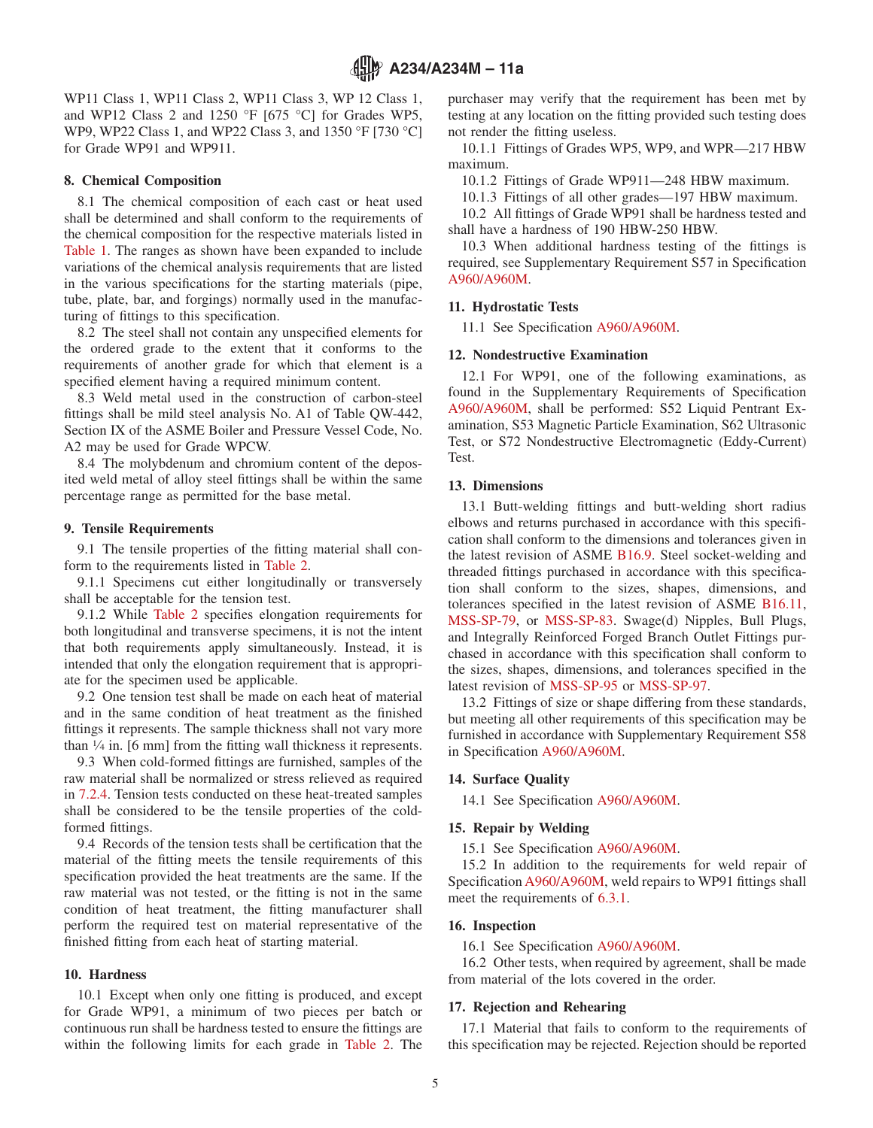WP11 Class 1, WP11 Class 2, WP11 Class 3, WP 12 Class 1, and WP12 Class 2 and 1250 °F [675 °C] for Grades WP5, WP9, WP22 Class 1, and WP22 Class 3, and 1350 °F [730 °C] for Grade WP91 and WP911.

# **8. Chemical Composition**

8.1 The chemical composition of each cast or heat used shall be determined and shall conform to the requirements of the chemical composition for the respective materials listed in [Table 1.](#page-1-4) The ranges as shown have been expanded to include variations of the chemical analysis requirements that are listed in the various specifications for the starting materials (pipe, tube, plate, bar, and forgings) normally used in the manufacturing of fittings to this specification.

8.2 The steel shall not contain any unspecified elements for the ordered grade to the extent that it conforms to the requirements of another grade for which that element is a specified element having a required minimum content.

8.3 Weld metal used in the construction of carbon-steel fittings shall be mild steel analysis No. A1 of Table QW-442, Section IX of the ASME Boiler and Pressure Vessel Code, No. A2 may be used for Grade WPCW.

8.4 The molybdenum and chromium content of the deposited weld metal of alloy steel fittings shall be within the same percentage range as permitted for the base metal.

#### **9. Tensile Requirements**

9.1 The tensile properties of the fitting material shall conform to the requirements listed in [Table 2.](#page-2-4)

9.1.1 Specimens cut either longitudinally or transversely shall be acceptable for the tension test.

9.1.2 While [Table 2](#page-2-4) specifies elongation requirements for both longitudinal and transverse specimens, it is not the intent that both requirements apply simultaneously. Instead, it is intended that only the elongation requirement that is appropriate for the specimen used be applicable.

9.2 One tension test shall be made on each heat of material and in the same condition of heat treatment as the finished fittings it represents. The sample thickness shall not vary more than  $\frac{1}{4}$  in. [6 mm] from the fitting wall thickness it represents.

9.3 When cold-formed fittings are furnished, samples of the raw material shall be normalized or stress relieved as required in [7.2.4.](#page-3-9) Tension tests conducted on these heat-treated samples shall be considered to be the tensile properties of the coldformed fittings.

9.4 Records of the tension tests shall be certification that the material of the fitting meets the tensile requirements of this specification provided the heat treatments are the same. If the raw material was not tested, or the fitting is not in the same condition of heat treatment, the fitting manufacturer shall perform the required test on material representative of the finished fitting from each heat of starting material.

# **10. Hardness**

10.1 Except when only one fitting is produced, and except for Grade WP91, a minimum of two pieces per batch or continuous run shall be hardness tested to ensure the fittings are within the following limits for each grade in [Table 2.](#page-2-4) The

purchaser may verify that the requirement has been met by testing at any location on the fitting provided such testing does not render the fitting useless.

10.1.1 Fittings of Grades WP5, WP9, and WPR—217 HBW maximum.

10.1.2 Fittings of Grade WP911—248 HBW maximum.

10.1.3 Fittings of all other grades—197 HBW maximum.

10.2 All fittings of Grade WP91 shall be hardness tested and shall have a hardness of 190 HBW-250 HBW.

<span id="page-4-6"></span>10.3 When additional hardness testing of the fittings is required, see Supplementary Requirement S57 in Specification [A960/A960M.](#page-4-7)

# <span id="page-4-7"></span>**11. Hydrostatic Tests**

<span id="page-4-4"></span>11.1 See Specification [A960/A960M.](#page-4-8)

#### <span id="page-4-17"></span><span id="page-4-16"></span>**12. Nondestructive Examination**

<span id="page-4-8"></span>12.1 For WP91, one of the following examinations, as found in the Supplementary Requirements of Specification [A960/A960M,](#page-4-9) shall be performed: S52 Liquid Pentrant Examination, S53 Magnetic Particle Examination, S62 Ultrasonic Test, or S72 Nondestructive Electromagnetic (Eddy-Current) Test.

# <span id="page-4-18"></span><span id="page-4-14"></span>**13. Dimensions**

<span id="page-4-1"></span><span id="page-4-0"></span>13.1 Butt-welding fittings and butt-welding short radius elbows and returns purchased in accordance with this specification shall conform to the dimensions and tolerances given in the latest revision of ASME [B16.9.](#page-0-9) Steel socket-welding and threaded fittings purchased in accordance with this specification shall conform to the sizes, shapes, dimensions, and tolerances specified in the latest revision of ASME [B16.11,](#page-0-10) [MSS-SP-79,](#page-0-11) or [MSS-SP-83.](#page-0-12) Swage(d) Nipples, Bull Plugs, and Integrally Reinforced Forged Branch Outlet Fittings purchased in accordance with this specification shall conform to the sizes, shapes, dimensions, and tolerances specified in the latest revision of [MSS-SP-95](#page-7-0) or [MSS-SP-97.](#page-7-1)

<span id="page-4-3"></span><span id="page-4-2"></span>13.2 Fittings of size or shape differing from these standards, but meeting all other requirements of this specification may be furnished in accordance with Supplementary Requirement S58 in Specification [A960/A960M.](#page-4-10)

#### <span id="page-4-10"></span><span id="page-4-9"></span><span id="page-4-5"></span>**14. Surface Quality**

14.1 See Specification [A960/A960M.](#page-4-11)

#### <span id="page-4-11"></span>**15. Repair by Welding**

15.1 See Specification [A960/A960M.](#page-4-12)

<span id="page-4-19"></span><span id="page-4-12"></span>15.2 In addition to the requirements for weld repair of Specification [A960/A960M,](#page-4-13) weld repairs to WP91 fittings shall meet the requirements of [6.3.1.](#page-3-10)

#### <span id="page-4-13"></span>**16. Inspection**

<span id="page-4-15"></span>16.1 See Specification [A960/A960M.](#page-0-13)

16.2 Other tests, when required by agreement, shall be made from material of the lots covered in the order.

### **17. Rejection and Rehearing**

17.1 Material that fails to conform to the requirements of this specification may be rejected. Rejection should be reported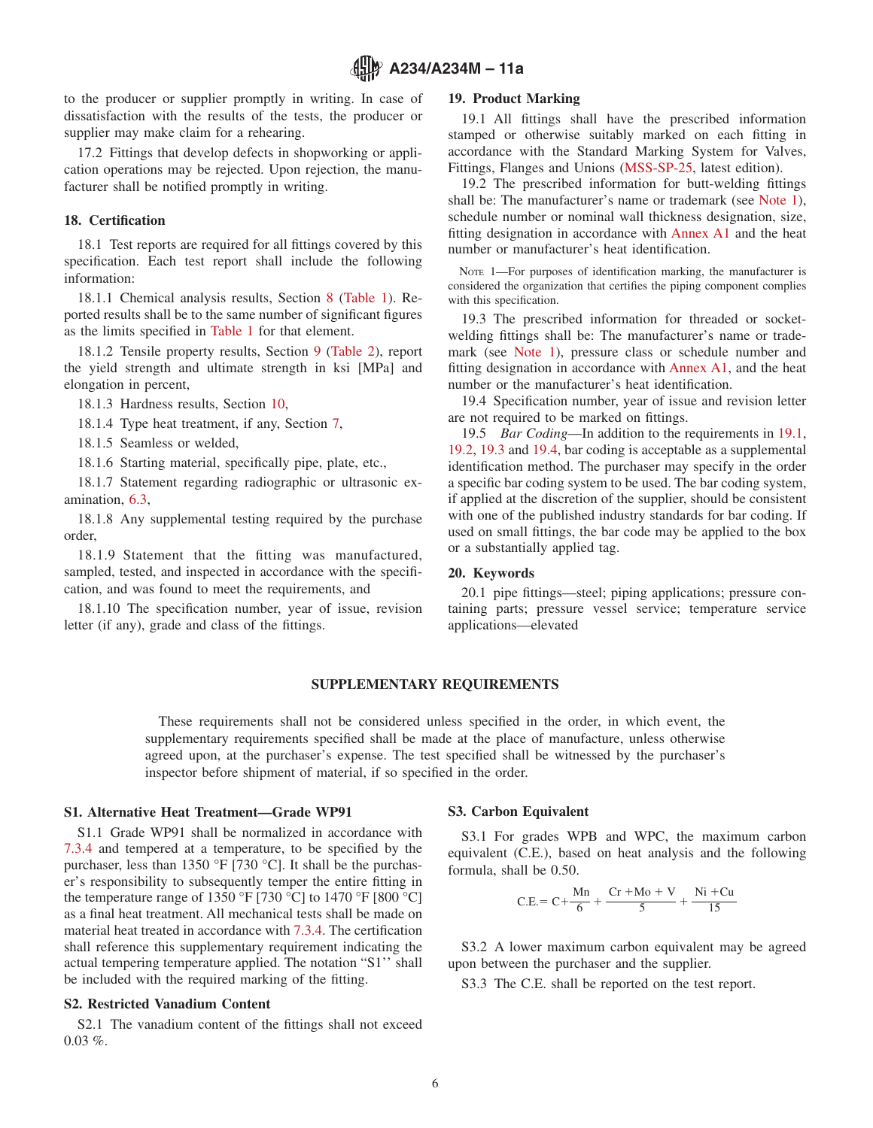to the producer or supplier promptly in writing. In case of dissatisfaction with the results of the tests, the producer or supplier may make claim for a rehearing.

17.2 Fittings that develop defects in shopworking or application operations may be rejected. Upon rejection, the manufacturer shall be notified promptly in writing.

# **18. Certification**

18.1 Test reports are required for all fittings covered by this specification. Each test report shall include the following information:

18.1.1 Chemical analysis results, Section 8 [\(Table 1\)](#page-1-4). Reported results shall be to the same number of significant figures as the limits specified in [Table 1](#page-1-4) for that element.

18.1.2 Tensile property results, Section [9](#page-4-14) [\(Table 2\)](#page-2-4), report the yield strength and ultimate strength in ksi [MPa] and elongation in percent,

18.1.3 Hardness results, Section [10,](#page-4-15)

18.1.4 Type heat treatment, if any, Section [7,](#page-3-3)

18.1.5 Seamless or welded,

18.1.6 Starting material, specifically pipe, plate, etc.,

18.1.7 Statement regarding radiographic or ultrasonic examination, [6.3,](#page-2-5)

18.1.8 Any supplemental testing required by the purchase order,

18.1.9 Statement that the fitting was manufactured, sampled, tested, and inspected in accordance with the specification, and was found to meet the requirements, and

18.1.10 The specification number, year of issue, revision letter (if any), grade and class of the fittings.

# <span id="page-5-2"></span>**19. Product Marking**

19.1 All fittings shall have the prescribed information stamped or otherwise suitably marked on each fitting in accordance with the Standard Marking System for Valves, Fittings, Flanges and Unions [\(MSS-SP-25,](#page-0-14) latest edition).

<span id="page-5-3"></span><span id="page-5-0"></span>19.2 The prescribed information for butt-welding fittings shall be: The manufacturer's name or trademark (see [Note 1\)](#page-5-1), schedule number or nominal wall thickness designation, size, fitting designation in accordance with [Annex A1](#page-6-0) and the heat number or manufacturer's heat identification.

<span id="page-5-7"></span><span id="page-5-1"></span>NOTE 1—For purposes of identification marking, the manufacturer is considered the organization that certifies the piping component complies with this specification.

<span id="page-5-4"></span>19.3 The prescribed information for threaded or socketwelding fittings shall be: The manufacturer's name or trademark (see [Note 1\)](#page-5-1), pressure class or schedule number and fitting designation in accordance with [Annex A1,](#page-6-0) and the heat number or the manufacturer's heat identification.

<span id="page-5-6"></span><span id="page-5-5"></span>19.4 Specification number, year of issue and revision letter are not required to be marked on fittings.

19.5 *Bar Coding*—In addition to the requirements in [19.1,](#page-5-2) [19.2,](#page-5-3) [19.3](#page-5-4) and [19.4,](#page-5-5) bar coding is acceptable as a supplemental identification method. The purchaser may specify in the order a specific bar coding system to be used. The bar coding system, if applied at the discretion of the supplier, should be consistent with one of the published industry standards for bar coding. If used on small fittings, the bar code may be applied to the box or a substantially applied tag.

# **20. Keywords**

20.1 pipe fittings—steel; piping applications; pressure containing parts; pressure vessel service; temperature service applications—elevated

# **SUPPLEMENTARY REQUIREMENTS**

These requirements shall not be considered unless specified in the order, in which event, the supplementary requirements specified shall be made at the place of manufacture, unless otherwise agreed upon, at the purchaser's expense. The test specified shall be witnessed by the purchaser's inspector before shipment of material, if so specified in the order.

# **S1. Alternative Heat Treatment—Grade WP91**

S1.1 Grade WP91 shall be normalized in accordance with [7.3.4](#page-3-11) and tempered at a temperature, to be specified by the purchaser, less than 1350 °F [730 °C]. It shall be the purchaser's responsibility to subsequently temper the entire fitting in the temperature range of 1350 °F [730 °C] to 1470 °F [800 °C] as a final heat treatment. All mechanical tests shall be made on material heat treated in accordance with [7.3.4.](#page-3-11) The certification shall reference this supplementary requirement indicating the actual tempering temperature applied. The notation "S1'' shall be included with the required marking of the fitting.

# **S2. Restricted Vanadium Content**

S2.1 The vanadium content of the fittings shall not exceed  $0.03\%$ 

#### **S3. Carbon Equivalent**

S3.1 For grades WPB and WPC, the maximum carbon equivalent (C.E.), based on heat analysis and the following formula, shall be 0.50.

$$
C.E = C + \frac{Mn}{6} + \frac{Cr + Mo + V}{5} + \frac{Ni + Cu}{15}
$$

S3.2 A lower maximum carbon equivalent may be agreed upon between the purchaser and the supplier.

S3.3 The C.E. shall be reported on the test report.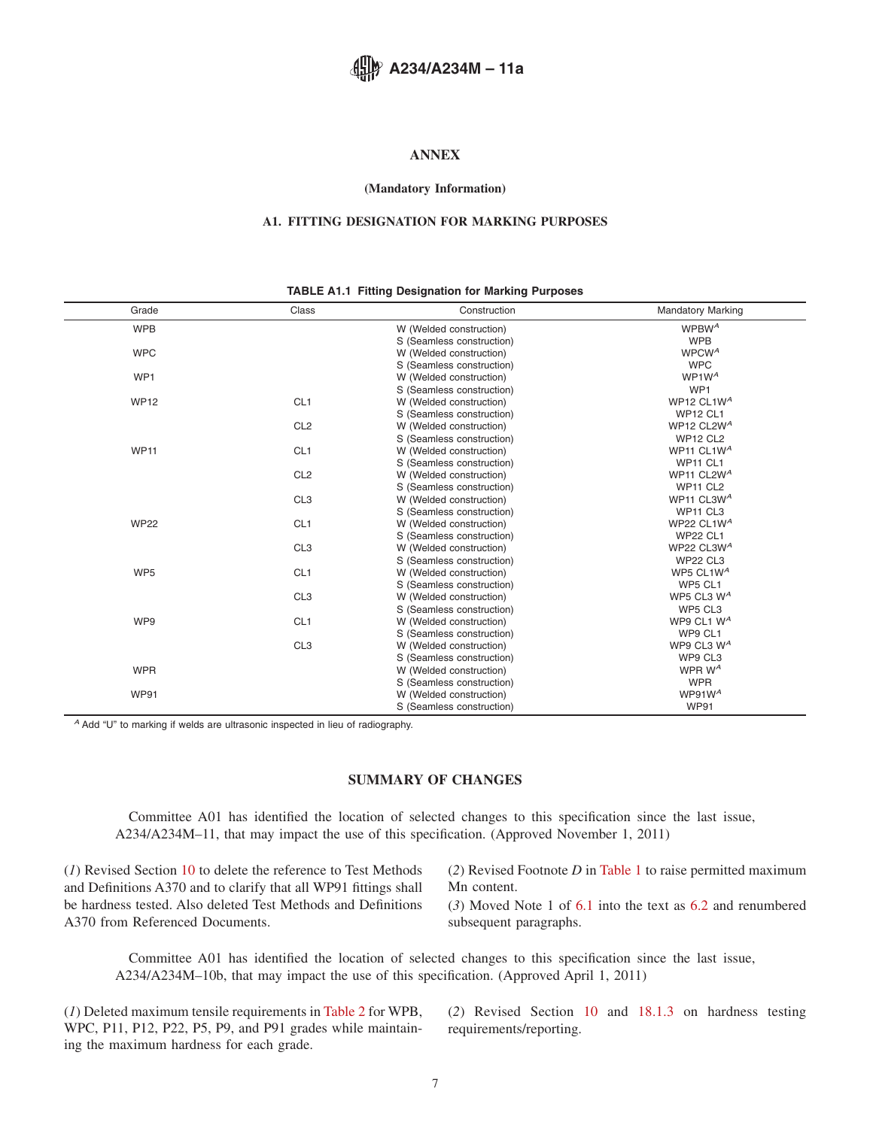# <span id="page-6-0"></span>**ANNEX**

#### **(Mandatory Information)**

# **A1. FITTING DESIGNATION FOR MARKING PURPOSES**

#### **TABLE A1.1 Fitting Designation for Marking Purposes**

| Grade           | Class           | Construction              | <b>Mandatory Marking</b>         |
|-----------------|-----------------|---------------------------|----------------------------------|
| <b>WPB</b>      |                 | W (Welded construction)   | WPBW <sup>A</sup>                |
|                 |                 | S (Seamless construction) | <b>WPB</b>                       |
| <b>WPC</b>      |                 | W (Welded construction)   | WPCW <sup>A</sup>                |
|                 |                 | S (Seamless construction) | <b>WPC</b>                       |
| WP1             |                 | W (Welded construction)   | WP1W <sup>A</sup>                |
|                 |                 | S (Seamless construction) | WP1                              |
| <b>WP12</b>     | CL <sub>1</sub> | W (Welded construction)   | WP12 CL1W <sup>A</sup>           |
|                 |                 | S (Seamless construction) | <b>WP12 CL1</b>                  |
|                 | CL <sub>2</sub> | W (Welded construction)   | WP12 CL2W <sup>A</sup>           |
|                 |                 | S (Seamless construction) | <b>WP12 CL2</b>                  |
| <b>WP11</b>     | CL <sub>1</sub> | W (Welded construction)   | WP11 CL1W <sup>A</sup>           |
|                 |                 | S (Seamless construction) | <b>WP11 CL1</b>                  |
|                 | CL <sub>2</sub> | W (Welded construction)   | WP11 CL2W <sup>A</sup>           |
|                 |                 | S (Seamless construction) | WP11 CL2                         |
|                 | CL <sub>3</sub> | W (Welded construction)   | WP11 CL3W <sup>A</sup>           |
|                 |                 | S (Seamless construction) | WP <sub>11</sub> CL <sub>3</sub> |
| <b>WP22</b>     | CL <sub>1</sub> | W (Welded construction)   | WP22 CL1W <sup>A</sup>           |
|                 |                 | S (Seamless construction) | <b>WP22 CL1</b>                  |
|                 | CL <sub>3</sub> | W (Welded construction)   | WP22 CL3W <sup>A</sup>           |
|                 |                 | S (Seamless construction) | <b>WP22 CL3</b>                  |
| WP <sub>5</sub> | CL <sub>1</sub> | W (Welded construction)   | WP5 CL1 $W^A$                    |
|                 |                 | S (Seamless construction) | WP5 CL1                          |
|                 | CL <sub>3</sub> | W (Welded construction)   | WP5 CL3 W <sup>A</sup>           |
|                 |                 | S (Seamless construction) | WP5 CL3                          |
| WP9             | CL <sub>1</sub> | W (Welded construction)   | WP9 CL1 W <sup>A</sup>           |
|                 |                 | S (Seamless construction) | WP9 CL1                          |
|                 | CL <sub>3</sub> | W (Welded construction)   | WP9 CL3 $W^A$                    |
|                 |                 | S (Seamless construction) | WP9 CL3                          |
| <b>WPR</b>      |                 | W (Welded construction)   | WPR W <sup>A</sup>               |
|                 |                 | S (Seamless construction) | <b>WPR</b>                       |
| <b>WP91</b>     |                 | W (Welded construction)   | WP91 $W^A$                       |
|                 |                 | S (Seamless construction) | <b>WP91</b>                      |

*<sup>A</sup>* Add "U" to marking if welds are ultrasonic inspected in lieu of radiography.

# **SUMMARY OF CHANGES**

Committee A01 has identified the location of selected changes to this specification since the last issue, A234/A234M–11, that may impact the use of this specification. (Approved November 1, 2011)

(*1*) Revised Section [10](#page-4-15) to delete the reference to Test Methods and Definitions A370 and to clarify that all WP91 fittings shall be hardness tested. Also deleted Test Methods and Definitions A370 from Referenced Documents.

(*2*) Revised Footnote *D* in [Table 1](#page-1-4) to raise permitted maximum Mn content.

(*3*) Moved Note 1 of [6.1](#page-1-9) into the text as [6.2](#page-2-6) and renumbered subsequent paragraphs.

Committee A01 has identified the location of selected changes to this specification since the last issue, A234/A234M–10b, that may impact the use of this specification. (Approved April 1, 2011)

(*1*) Deleted maximum tensile requirements in [Table 2](#page-2-4) for WPB, WPC, P11, P12, P22, P5, P9, and P91 grades while maintaining the maximum hardness for each grade.

(*2*) Revised Section [10](#page-4-15) and [18.1.3](#page-5-6) on hardness testing requirements/reporting.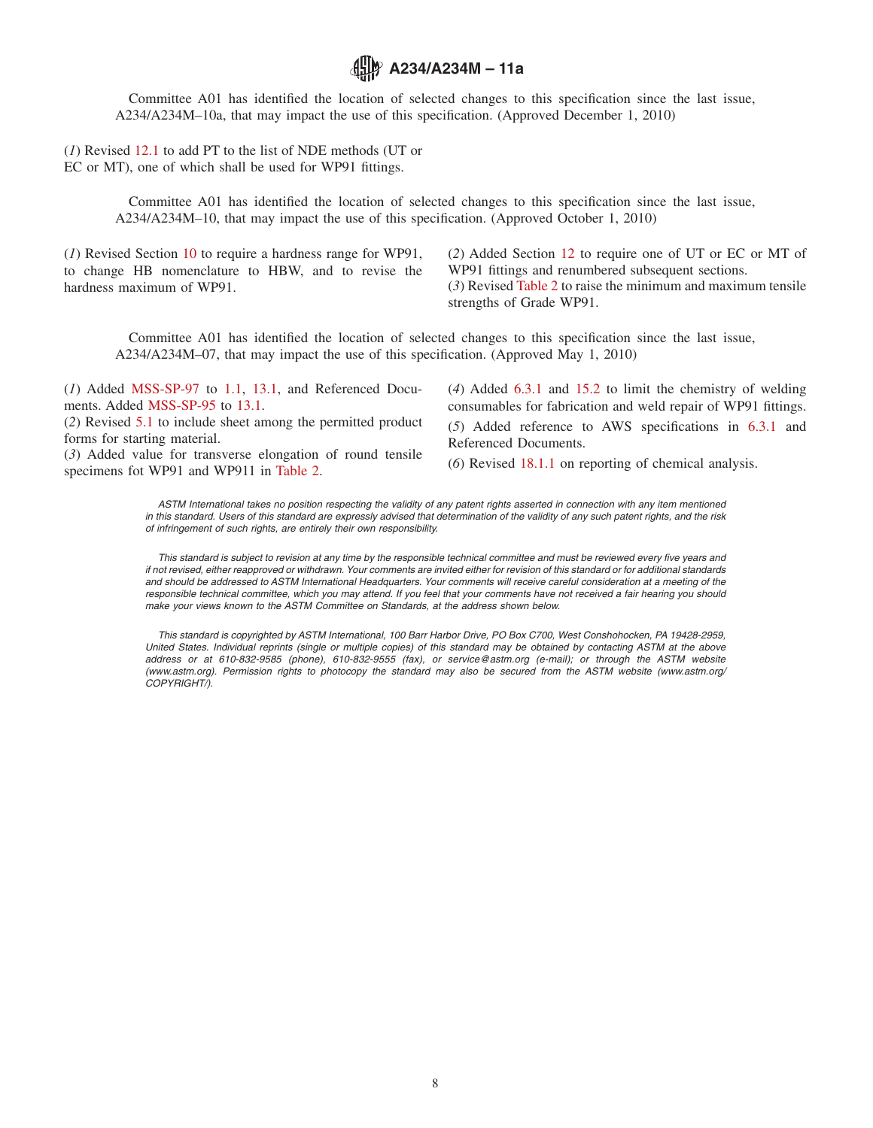# **A234/A234M – 11a**

Committee A01 has identified the location of selected changes to this specification since the last issue, A234/A234M–10a, that may impact the use of this specification. (Approved December 1, 2010)

(*1*) Revised [12.1](#page-4-16) to add PT to the list of NDE methods (UT or EC or MT), one of which shall be used for WP91 fittings.

> Committee A01 has identified the location of selected changes to this specification since the last issue, A234/A234M–10, that may impact the use of this specification. (Approved October 1, 2010)

(*1*) Revised Section [10](#page-4-15) to require a hardness range for WP91, to change HB nomenclature to HBW, and to revise the hardness maximum of WP91.

(*2*) Added Section [12](#page-4-17) to require one of UT or EC or MT of WP91 fittings and renumbered subsequent sections. (*3*) Revised [Table 2](#page-2-4) to raise the minimum and maximum tensile strengths of Grade WP91.

Committee A01 has identified the location of selected changes to this specification since the last issue, A234/A234M–07, that may impact the use of this specification. (Approved May 1, 2010)

(*1*) Added [MSS-SP-97](#page-0-15) to [1.1,](#page-0-16) [13.1,](#page-4-18) and Referenced Documents. Added [MSS-SP-95](#page-0-17) to [13.1.](#page-4-18)

(*2*) Revised [5.1](#page-1-10) to include sheet among the permitted product forms for starting material.

(*3*) Added value for transverse elongation of round tensile specimens fot WP91 and WP911 in [Table 2.](#page-2-4)

<span id="page-7-1"></span><span id="page-7-0"></span>(*4*) Added [6.3.1](#page-3-10) and [15.2](#page-4-19) to limit the chemistry of welding consumables for fabrication and weld repair of WP91 fittings. (*5*) Added reference to AWS specifications in [6.3.1](#page-3-10) and Referenced Documents.

(*6*) Revised [18.1.1](#page-5-7) on reporting of chemical analysis.

*ASTM International takes no position respecting the validity of any patent rights asserted in connection with any item mentioned in this standard. Users of this standard are expressly advised that determination of the validity of any such patent rights, and the risk of infringement of such rights, are entirely their own responsibility.*

*This standard is subject to revision at any time by the responsible technical committee and must be reviewed every five years and if not revised, either reapproved or withdrawn. Your comments are invited either for revision of this standard or for additional standards and should be addressed to ASTM International Headquarters. Your comments will receive careful consideration at a meeting of the responsible technical committee, which you may attend. If you feel that your comments have not received a fair hearing you should make your views known to the ASTM Committee on Standards, at the address shown below.*

*This standard is copyrighted by ASTM International, 100 Barr Harbor Drive, PO Box C700, West Conshohocken, PA 19428-2959, United States. Individual reprints (single or multiple copies) of this standard may be obtained by contacting ASTM at the above address or at 610-832-9585 (phone), 610-832-9555 (fax), or service@astm.org (e-mail); or through the ASTM website (www.astm.org). Permission rights to photocopy the standard may also be secured from the ASTM website (www.astm.org/ COPYRIGHT/).*